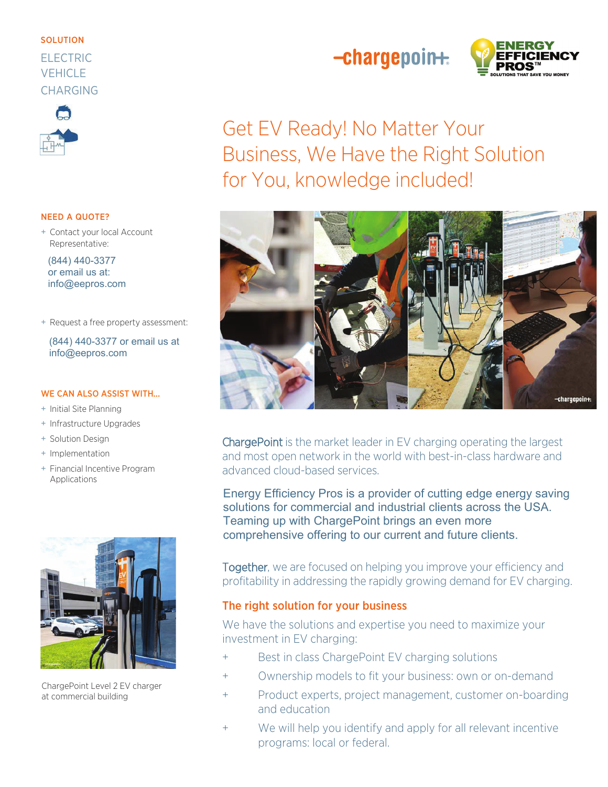#### **SOLUTION**

## **FI FCTRIC VEHICLE CHARGING**



#### **NEED A QUOTE?**

+ Contact your local Account Representative:

(844) 440-3377 or email us at: info@eepros.com

+ Request a free property assessment:

(844) 440-3377 or email us at info@eepros.com

#### **WE CAN ALSO ASSIST WITH...**

- + Initial Site Planning
- + Infrastructure Upgrades
- + Solution Design
- + Implementation
- + Financial Incentive Program Applications



ChargePoint Level 2 EV charger at commercial building

# $-$ chargepoin $+$



**Get EV Ready! No Matter Your** Business, We Have the Right Solution for You, knowledge included!



ChargePoint is the market leader in EV charging operating the largest and most open network in the world with best-in-class hardware and advanced cloud-based services.

Energy Efficiency Pros is a provider of cutting edge energy saving solutions for commercial and industrial clients across the USA. Teaming up with ChargePoint brings an even more comprehensive offering to our current and future clients.

Together, we are focused on helping you improve your efficiency and profitability in addressing the rapidly growing demand for EV charging.

### The right solution for your business

We have the solutions and expertise you need to maximize your investment in EV charging:

- Best in class ChargePoint EV charging solutions  $\ddot{}$
- Ownership models to fit your business: own or on-demand  $\ddot{}$
- Product experts, project management, customer on-boarding  $\ddot{}$ and education
- We will help you identify and apply for all relevant incentive  $\ddot{}$ programs: local or federal.